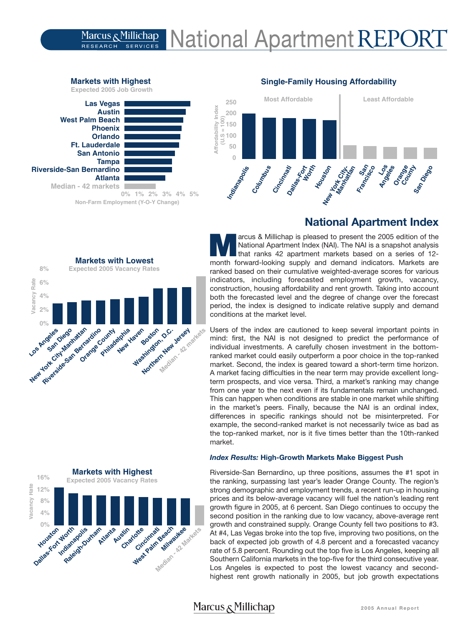### **National Apartment REPOI** Marcus <sub>&</sub> Millichap **SERVICES RESEARCH**



# **National Apartment Index**

**M**arcus & Millichap is pleased to present the 2005 edition of the National Apartment Index (NAI). The NAI is a snapshot analysis that ranks 42 apartment markets based on a series of 12 month forward-looking supply and demand indicators. Markets are ranked based on their cumulative weighted-average scores for various indicators, including forecasted employment growth, vacancy, construction, housing affordability and rent growth. Taking into account both the forecasted level and the degree of change over the forecast period, the index is designed to indicate relative supply and demand conditions at the market level.

Users of the index are cautioned to keep several important points in mind: first, the NAI is not designed to predict the performance of individual investments. A carefully chosen investment in the bottomranked market could easily outperform a poor choice in the top-ranked market. Second, the index is geared toward a short-term time horizon. A market facing difficulties in the near term may provide excellent longterm prospects, and vice versa. Third, a market's ranking may change from one year to the next even if its fundamentals remain unchanged. This can happen when conditions are stable in one market while shifting in the market's peers. Finally, because the NAI is an ordinal index, differences in specific rankings should not be misinterpreted. For example, the second-ranked market is not necessarily twice as bad as the top-ranked market, nor is it five times better than the 10th-ranked market.

### *Index Results:* **High-Growth Markets Make Biggest Push**

Riverside-San Bernardino, up three positions, assumes the #1 spot in the ranking, surpassing last year's leader Orange County. The region's strong demographic and employment trends, a recent run-up in housing prices and its below-average vacancy will fuel the nation's leading rent growth figure in 2005, at 6 percent. San Diego continues to occupy the second position in the ranking due to low vacancy, above-average rent growth and constrained supply. Orange County fell two positions to #3. At #4, Las Vegas broke into the top five, improving two positions, on the back of expected job growth of 4.8 percent and a forecasted vacancy rate of 5.8 percent. Rounding out the top five is Los Angeles, keeping all Southern California markets in the top-five for the third consecutive year. Los Angeles is expected to post the lowest vacancy and secondhighest rent growth nationally in 2005, but job growth expectations

# **West Palm Beach**

**Markets with Highest** 

**Non-Farm Employment (Y-O-Y Change)**





## Marcus & Millichap